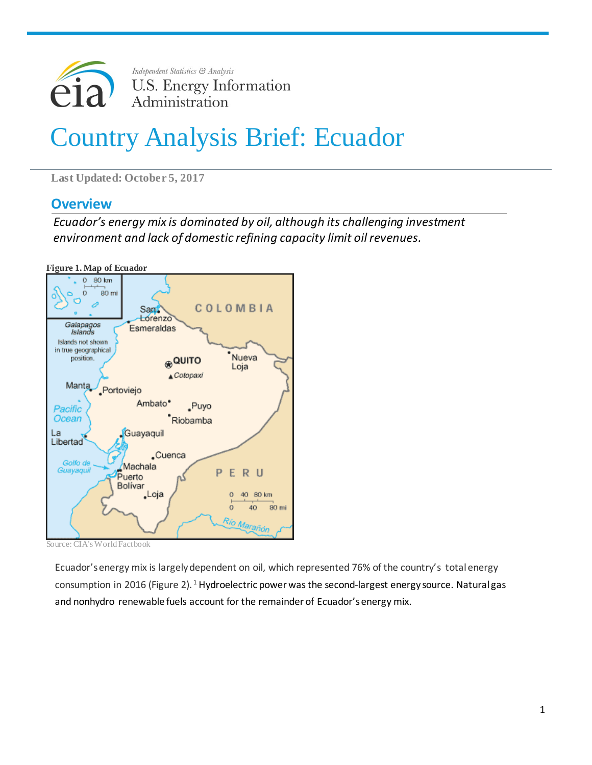

# Country Analysis Brief: Ecuador

**Last Updated: October 5, 2017**

## **Overview**

*Ecuador's energy mix is dominated by oil, although its challenging investment environment and lack of domestic refining capacity limit oil revenues.*

**Figure 1. Map of Ecuador**



Source: CIA's World Factbook

Ecuador'senergy mix is largelydependent on oil, which represented 76% of the country's total energy consumption in 20[1](#page-11-0)6 (Figure 2).<sup>1</sup> Hydroelectric power was the second-largest energy source. Natural gas and nonhydro renewable fuels account for the remainder of Ecuador's energy mix.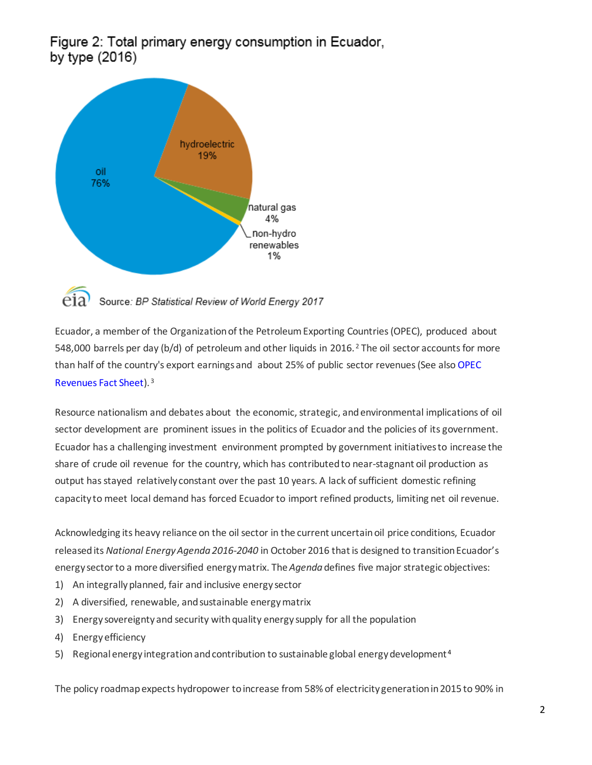Figure 2: Total primary energy consumption in Ecuador, by type (2016)



Source: BP Statistical Review of World Energy 2017

Ecuador, a member of the Organization of the Petroleum Exporting Countries (OPEC), produced about 548,000 barrels per day (b/d) of petroleum and other liquids in [2](#page-11-1)016.<sup>2</sup> The oil sector accounts for more than half of the country's export earningsand about 25% of public sector revenues (See als[o OPEC](https://www.eia.gov/beta/international/regions-topics.cfm?RegionTopicID=OPEC)  [Revenues Fact Sheet\)](https://www.eia.gov/beta/international/regions-topics.cfm?RegionTopicID=OPEC). [3](#page-11-2)

Resource nationalism and debates about the economic, strategic, and environmental implications of oil sector development are prominent issues in the politics of Ecuador and the policies of its government. Ecuador has a challenging investment environment prompted by government initiativesto increase the share of crude oil revenue for the country, which has contributedto near-stagnant oil production as output has stayed relatively constant over the past 10 years. A lack of sufficient domestic refining capacity to meet local demand has forced Ecuadorto import refined products, limiting net oil revenue.

Acknowledging its heavy reliance on the oil sector in the current uncertain oil price conditions, Ecuador released its *National Energy Agenda 2016-2040* in October 2016 thatis designed to transition Ecuador's energy sector to a more diversified energy matrix. The *Agenda*defines five major strategic objectives:

- 1) An integrally planned, fair and inclusive energy sector
- 2) A diversified, renewable, and sustainable energy matrix
- 3) Energy sovereignty and security with quality energy supply for all the population
- 4) Energy efficiency
- 5) Regional energy integration and contribution to sustainable global energy development<sup>[4](#page-11-3)</sup>

The policy roadmap expects hydropower to increase from 58% of electricity generation in 2015 to 90% in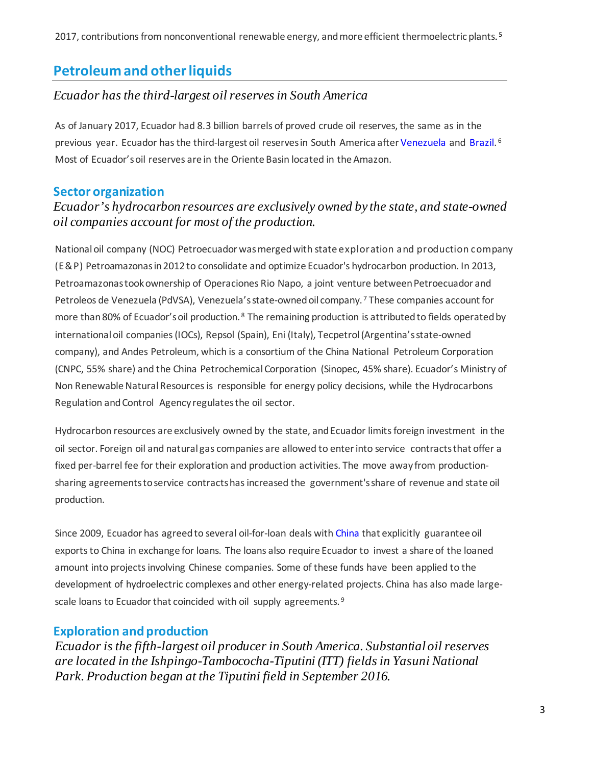# **Petroleum and otherliquids**

#### *Ecuador has the third-largest oilreserves in South America*

As of January 2017, Ecuador had 8.3 billion barrels of proved crude oil reserves, the same as in the previous year. Ecuador has the third-largest oil reserves in South America after [Venezuela](https://www.eia.gov/beta/international/analysis.cfm?iso=VEN) and [Brazil.](https://www.eia.gov/beta/international/analysis.cfm?iso=BRA)<sup>[6](#page-11-5)</sup> Most of Ecuador'soil reserves are in the Oriente Basin located in the Amazon.

### **Sector organization**

## *Ecuador's hydrocarbon resources are exclusively owned by the state, and state-owned oil companies account for most of the production.*

Nationaloil company (NOC) Petroecuador was merged with state exploration and production company (E&P) Petroamazonas in 2012 to consolidate and optimize Ecuador's hydrocarbon production. In 2013, Petroamazonas took ownership of Operaciones Rio Napo, a joint venture between Petroecuador and Petroleos de Venezuela (PdVSA), Venezuela's state-owned oil company. [7](#page-11-6) These companies account for more than [8](#page-11-7)0% of Ecuador's oil production. <sup>8</sup> The remaining production is attributed to fields operated by international oil companies (IOCs), Repsol (Spain), Eni (Italy), Tecpetrol (Argentina's state-owned company), and Andes Petroleum, which is a consortium of the China National Petroleum Corporation (CNPC, 55% share) and the China Petrochemical Corporation (Sinopec, 45% share). Ecuador's Ministry of Non Renewable Natural Resources is responsible for energy policy decisions, while the Hydrocarbons Regulation andControl Agency regulatesthe oil sector.

Hydrocarbon resources are exclusively owned by the state, and Ecuador limits foreign investment in the oil sector. Foreign oil and natural gas companies are allowed to enterinto service contractsthat offer a fixed per-barrel fee for their exploration and production activities. The move away from productionsharing agreementstoservice contractshasincreased the government'sshare of revenue and state oil production.

Since 2009, Ecuador has agreedto several oil-for-loan deals wit[h China](https://www.eia.gov/beta/international/analysis.cfm?iso=CHN) that explicitly guarantee oil exportsto China in exchange for loans. The loans also require Ecuador to invest a share of the loaned amount into projects involving Chinese companies. Some of these funds have been applied to the development of hydroelectric complexes and other energy-related projects. China has also made large-scale loans to Ecuador that coincided with oil supply agreements.<sup>[9](#page-11-8)</sup>

## **Exploration and production**

*Ecuador is the fifth-largest oil producer in South America. Substantial oil reserves are located in the Ishpingo-Tambococha-Tiputini (ITT) fields in Yasuni National Park. Production began at the Tiputini field in September 2016.*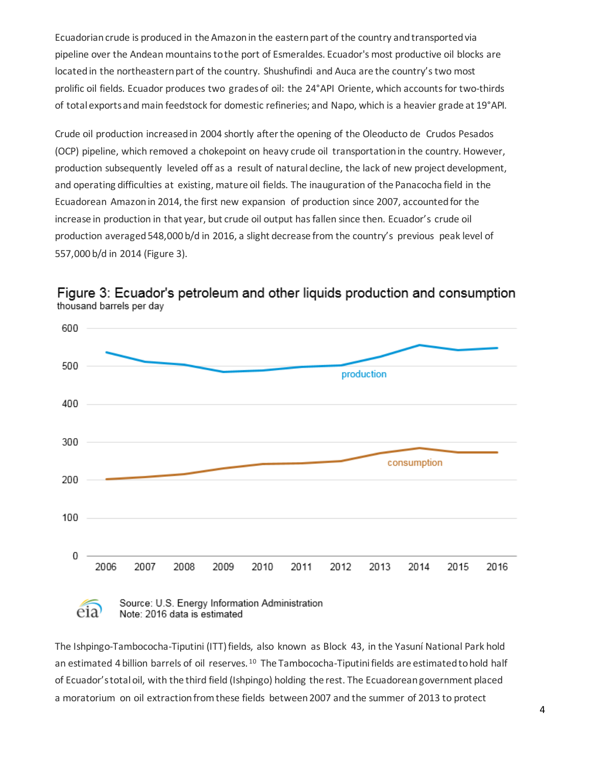Ecuadorian crude is produced in the Amazon in the eastern part of the country and transported via pipeline over the Andean mountains to the port of Esmeraldes. Ecuador's most productive oil blocks are locatedin the northeasternpart of the country. Shushufindi and Auca are the country'stwo most prolific oil fields. Ecuador produces two gradesof oil: the 24°API Oriente, which accountsfor two-thirds of total exportsand main feedstock for domestic refineries; and Napo, which is a heavier grade at 19°API.

Crude oil production increasedin 2004 shortly afterthe opening of the Oleoducto de Crudos Pesados (OCP) pipeline, which removed a chokepoint on heavy crude oil transportationin the country. However, production subsequently leveled off as a result of naturaldecline, the lack of new project development, and operating difficulties at existing, mature oil fields. The inauguration of the Panacocha field in the Ecuadorean Amazon in 2014, the first new expansion of production since 2007, accountedfor the increase in production in that year, but crude oil output has fallen since then. Ecuador's crude oil production averaged548,000 b/d in 2016, a slight decrease from the country's previous peak level of 557,000 b/d in 2014 (Figure 3).



Figure 3: Ecuador's petroleum and other liquids production and consumption thousand barrels per day

# eia

Source: U.S. Energy Information Administration Note: 2016 data is estimated

The Ishpingo-Tambococha-Tiputini (ITT) fields, also known as Block 43, in the Yasuní National Park hold an estimated 4 billion barrels of oil reserves.<sup>[10](#page-11-9)</sup> The Tambococha-Tiputini fields are estimated to hold half of Ecuador's totaloil, with the third field (Ishpingo) holding the rest. The Ecuadoreangovernment placed a moratorium on oil extraction from these fields between 2007 and the summer of 2013 to protect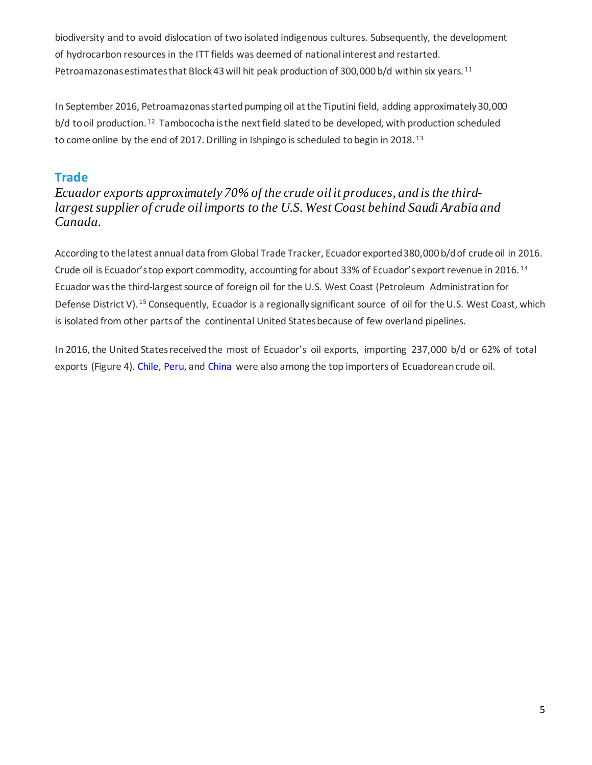biodiversity and to avoid dislocation of two isolated indigenous cultures. Subsequently, the development of hydrocarbon resourcesin the ITT fields was deemed of national interest and restarted. Petroamazonas estimates that Block 43 will hit peak production of 300,000 b/d within six years.<sup>[11](#page-11-10)</sup>

In September 2016, Petroamazonas started pumping oil at the Tiputini field, adding approximately 30,000 b/d to oil production.<sup>[12](#page-11-11)</sup> Tambococha is the next field slated to be developed, with production scheduled to come online by the end of 2017. Drilling in Ishpingo is scheduled to begin in 2018.<sup>[13](#page-11-12)</sup>

## **Trade**

*Ecuador exports approximately 70% of the crude oilit produces, and is the thirdlargest supplier of crude oilimports to the U.S. West Coast behind Saudi Arabia and Canada.* 

According to the latest annual data from Global Trade Tracker, Ecuador exported 380,000 b/d of crude oil in 2016. Crude oil is Ecuador's top export commodity, accounting for about 33% of Ecuador's export revenue in 2016. [14](#page-11-13) Ecuador was the third-largest source of foreign oil for the U.S. West Coast (Petroleum Administration for Defense District V). <sup>[15](#page-11-14)</sup> Consequently, Ecuador is a regionally significant source of oil for the U.S. West Coast, which is isolated from other partsof the continental United Statesbecause of few overland pipelines.

In 2016, the United States receivedthe most of Ecuador's oil exports, importing 237,000 b/d or 62% of total exports (Figure 4). [Chile,](https://www.eia.gov/beta/international/?fips=CI) [Peru,](https://www.eia.gov/beta/international/analysis.cfm?iso=PER) and [China](https://www.eia.gov/beta/international/analysis.cfm?iso=CHN) were also among the top importers of Ecuadorean crude oil.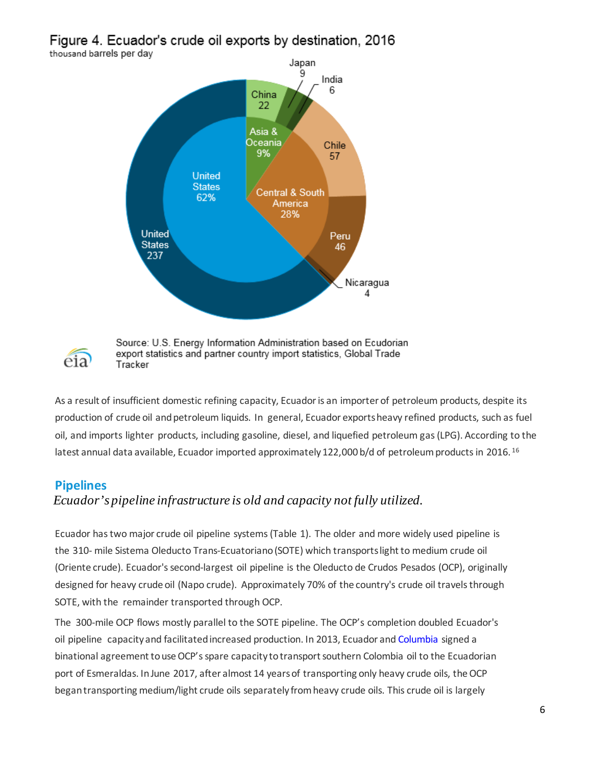Figure 4. Ecuador's crude oil exports by destination, 2016 thousand barrels per day





Source: U.S. Energy Information Administration based on Ecudorian export statistics and partner country import statistics, Global Trade Tracker

As a result of insufficient domestic refining capacity, Ecuador is an importer of petroleum products, despite its production of crude oil and petroleum liquids. In general, Ecuador exportsheavy refined products, such as fuel oil, and imports lighter products, including gasoline, diesel, and liquefied petroleum gas(LPG). According to the latest annual data available, Ecuador imported approximately 122,000 b/d of petroleum products in 20[16](#page-11-15).<sup>16</sup>

## **Pipelines**

## *Ecuador's pipeline infrastructure is old and capacity not fully utilized.*

Ecuador hastwo major crude oil pipeline systems(Table 1). The older and more widely used pipeline is the 310- mile Sistema Oleducto Trans-Ecuatoriano(SOTE) which transports light to medium crude oil (Oriente crude). Ecuador'ssecond-largest oil pipeline is the Oleducto de Crudos Pesados (OCP), originally designed for heavy crude oil (Napo crude). Approximately 70% of the country's crude oil travels through SOTE, with the remainder transported through OCP.

The 300-mile OCP flows mostly parallel to the SOTE pipeline. The OCP's completion doubled Ecuador's oil pipeline capacityand facilitatedincreased production. In 2013, Ecuador and Columbia signed a binational agreement to use OCP's spare capacity to transport southern Colombia oil to the Ecuadorian port of Esmeraldas. In June 2017, after almost 14 years of transporting only heavy crude oils, the OCP begantransporting medium/light crude oils separately from heavy crude oils. This crude oil is largely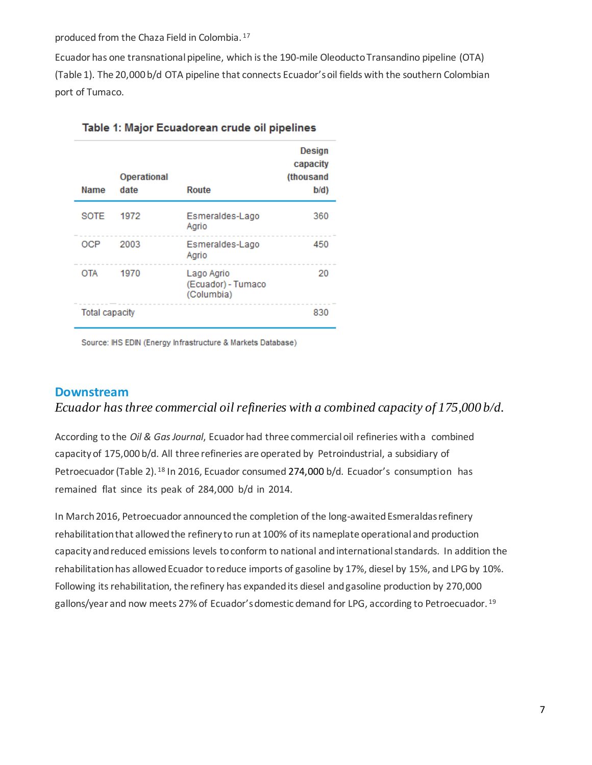produced from the Chaza Field in Colombia. [17](#page-11-16)

Ecuador has one transnational pipeline, which is the 190-mile Oleoducto Transandino pipeline (OTA) (Table 1). The 20,000 b/d OTA pipeline that connects Ecuador's oil fields with the southern Colombian port of Tumaco.

| <b>Name</b>           | Operational<br>date | Route                                          | <b>Design</b><br>capacity<br>(thousand<br>b/d) |
|-----------------------|---------------------|------------------------------------------------|------------------------------------------------|
| SOTE                  | 1972                | Esmeraldes-Lago<br>Agrio                       | 360                                            |
| OCP                   | 2003                | Esmeraldes-Lago<br>Agrio                       | 450                                            |
| <b>OTA</b>            | 1970                | Lago Agrio<br>(Ecuador) - Tumaco<br>(Columbia) | 20                                             |
| <b>Total capacity</b> |                     |                                                | 830                                            |

Table 1: Major Ecuadorean crude oil pipelines

Source: IHS EDIN (Energy Infrastructure & Markets Database)

#### **Downstream**

#### *Ecuador* has three commercial oil refineries with a combined capacity of 175,000 b/d.

According to the *Oil & GasJournal*, Ecuador had three commercialoil refineries witha combined capacityof 175,000 b/d. All three refineries are operated by Petroindustrial, a subsidiary of Petroecuador (Table 2). <sup>[18](#page-11-17)</sup> In 2016, Ecuador consumed 274,000 b/d. Ecuador's consumption has remained flat since its peak of 284,000 b/d in 2014.

In March 2016, Petroecuador announced the completion of the long-awaited Esmeraldas refinery rehabilitation that allowedthe refinery to run at 100% of its nameplate operational and production capacity and reduced emissions levels to conform to national and international standards. In addition the rehabilitation has allowed Ecuador to reduce imports of gasoline by 17%, diesel by 15%, and LPG by 10%. Following its rehabilitation, the refinery has expanded its diesel and gasoline production by 270,000 gallons/year and now meets 27% of Ecuador's domestic demand for LPG, according to Petroecuador. <sup>[19](#page-11-18)</sup>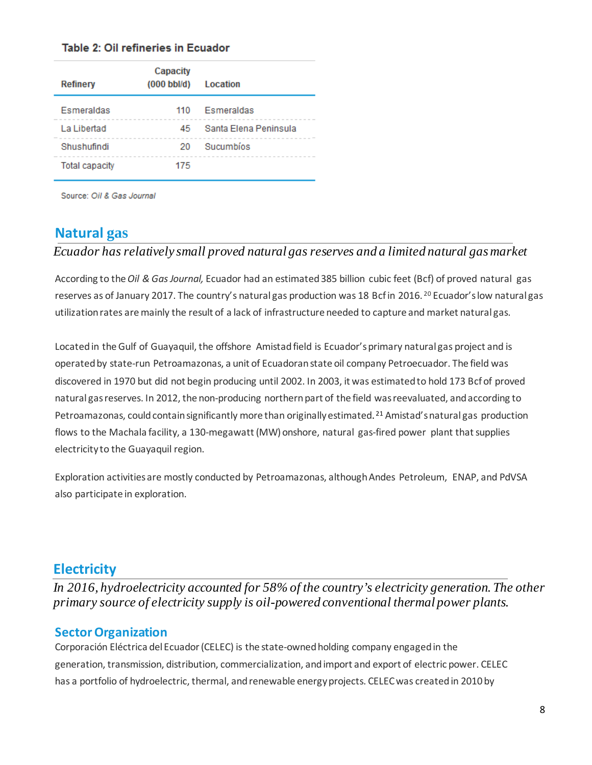#### Table 2: Oil refineries in Ecuador

| Refinery              | Capacity<br>$(000 \text{ bbl/d})$ | Location              |
|-----------------------|-----------------------------------|-----------------------|
| Esmeraldas            | 110                               | Esmeraldas            |
| La Libertad           | 45.                               | Santa Elena Peninsula |
| Shushufindi           | 20                                | Sucumbios             |
| <b>Total capacity</b> | 175                               |                       |

Source: Oil & Gas Journal

## **Natural gas**

#### *Ecuador has relatively small proved natural gas reserves and a limited natural gasmarket*

According to the *Oil & Gas Journal,* Ecuador had an estimated385 billion cubic feet (Bcf) of proved natural gas reserves as of January [20](#page-11-19)17. The country's natural gas production was 18 Bcf in 2016.<sup>20</sup> Ecuador's low natural gas utilizationrates aremainly the result of a lack of infrastructure needed to capture and market natural gas.

Locatedin theGulf of Guayaquil, the offshore Amistadfield is Ecuador'sprimary natural gas project and is operated by state-run Petroamazonas, a unit of Ecuadoran state oil company Petroecuador. The field was discovered in 1970 but did not begin producing until 2002. In 2003, it was estimated to hold 173 Bcf of proved natural gas reserves. In 2012, the non-producing northern part of the field was reevaluated, and according to Petroamazonas, could contain significantly more than originally estimated.<sup>[21](#page-11-20)</sup> Amistad's natural gas production flows to the Machala facility, a 130-megawatt (MW) onshore, natural gas-fired power plant that supplies electricity to the Guayaquil region.

Exploration activitiesare mostly conducted by Petroamazonas, although Andes Petroleum, ENAP, and PdVSA also participate in exploration.

## **Electricity**

*In 2016, hydroelectricity accounted for 58% of the country's electricity generation. The other primary source of electricity supply is oil-powered conventional thermal power plants.*

## **Sector Organization**

Corporación Eléctrica del Ecuador (CELEC) is the state-owned holding company engaged in the generation, transmission, distribution, commercialization, andimport and export of electric power. CELEC has a portfolio of hydroelectric, thermal, and renewable energy projects. CELEC was created in 2010 by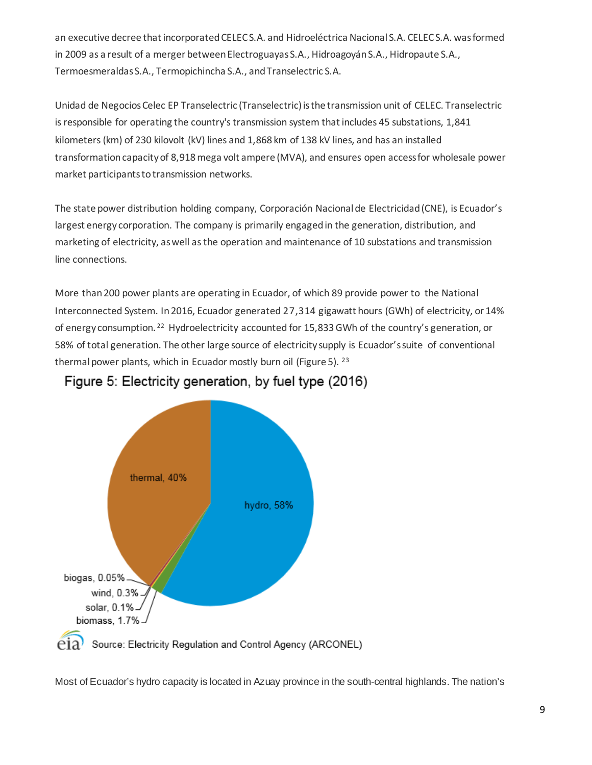an executive decree that incorporated CELEC S.A. and Hidroeléctrica Nacional S.A. CELEC S.A. was formed in 2009 as a result of a merger between Electroguayas S.A., Hidroagoyán S.A., Hidropaute S.A., Termoesmeraldas S.A., Termopichincha S.A., and Transelectric S.A.

Unidad de Negocios Celec EP Transelectric (Transelectric) is the transmission unit of CELEC. Transelectric is responsible for operating the country's transmission system that includes 45 substations, 1,841 kilometers (km) of 230 kilovolt (kV) lines and 1,868 km of 138 kV lines, and has an installed transformation capacity of 8,918 mega volt ampere (MVA), and ensures open access for wholesale power market participants to transmission networks.

The state power distribution holding company, Corporación Nacional de Electricidad (CNE), is Ecuador's largest energy corporation. The company is primarily engaged in the generation, distribution, and marketing of electricity, as well as the operation and maintenance of 10 substations and transmission line connections.

More than200 power plants are operating in Ecuador, of which 89 provide power to the National Interconnected System. In2016, Ecuador generated 27,314 gigawatt hours (GWh) of electricity, or 14% of energy consumption.<sup>[22](#page-11-21)</sup> Hydroelectricity accounted for 15,833 GWh of the country's generation, or 58% of total generation. The other large source of electricity supply is Ecuador'ssuite of conventional thermal power plants, which in Ecuador mostly burn oil (Figure 5). <sup>[23](#page-11-22)</sup>



## Figure 5: Electricity generation, by fuel type (2016)

Most of Ecuador's hydro capacity is located in Azuay province in the south-central highlands. The nation's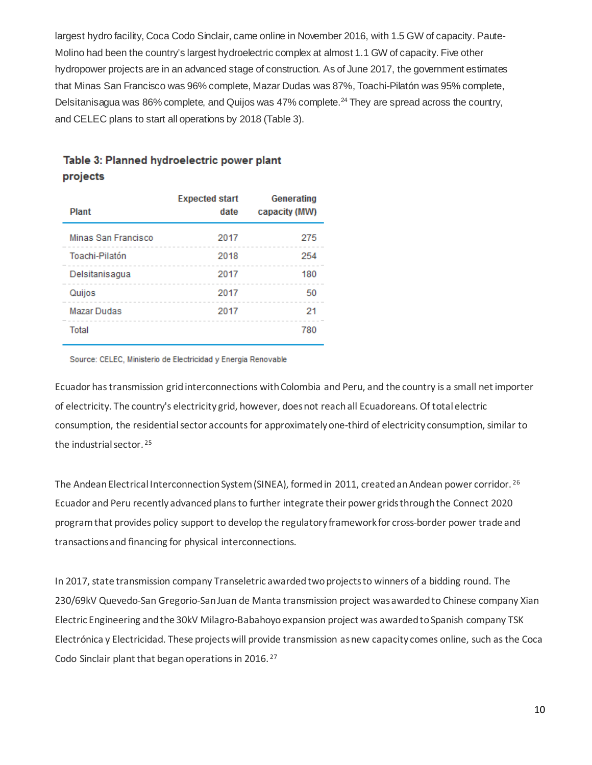largest hydro facility, Coca Codo Sinclair, came online in November 2016, with 1.5 GW of capacity. Paute-Molino had been the country's largest hydroelectric complex at almost 1.1 GW of capacity. Five other hydropower projects are in an advanced stage of construction. As of June 2017, the government estimates that Minas San Francisco was 96% complete, Mazar Dudas was 87%, Toachi-Pilatón was 95% complete, Delsitanisagua was 86% complete, and Quijos was 47% complete.<sup>[24](#page-11-23)</sup> They are spread across the country, and CELEC plans to start all operations by 2018 (Table 3).

#### Table 3: Planned hydroelectric power plant projects

| <b>Plant</b>        | <b>Expected start</b><br>date | <b>Generating</b><br>capacity (MW) |
|---------------------|-------------------------------|------------------------------------|
| Minas San Francisco | 2017                          | 275                                |
| Toachi-Pilatón      | 2018                          | 254                                |
| Delsitanisagua      | 2017                          | 180                                |
| Quijos              | 2017                          | 50                                 |
| <b>Mazar Dudas</b>  | 2017                          | 21                                 |
| Total               |                               | 780                                |

Source: CELEC, Ministerio de Electricidad y Energia Renovable

Ecuador has transmission grid interconnections with Colombia and Peru, and the country is a small net importer of electricity. The country's electricity grid, however, does not reach all Ecuadoreans. Of total electric consumption, the residential sector accounts for approximately one-third of electricity consumption, similar to the industrial sector. [25](#page-11-24)

The Andean Electrical Interconnection System (SINEA), formed in 2011, created an Andean power corridor. [26](#page-11-25) Ecuador and Peru [recently advanced planst](https://www.bnamericas.com/en/news/electricpower/latin-america-and-caribbean-power-sector-roundup/)o further integrate their power grids through the Connect 2020 program that provides policy support to develop the regulatory framework for cross-border power trade and transactions and financing for physical interconnections.

In 2017, state transmission company Transeletric awarded two projects to winners of a bidding round. The 230/69kV Quevedo-San Gregorio-San Juan de Manta transmission project was awarded to Chinese company Xian Electric Engineering and the 30kV Milagro-Babahoyo expansion project was awarded to Spanish company TSK Electrónica y Electricidad. These projects will provide transmission as new capacity comes online, such as the Coca Codo Sinclair plant that began operations in 2016. [27](#page-11-26)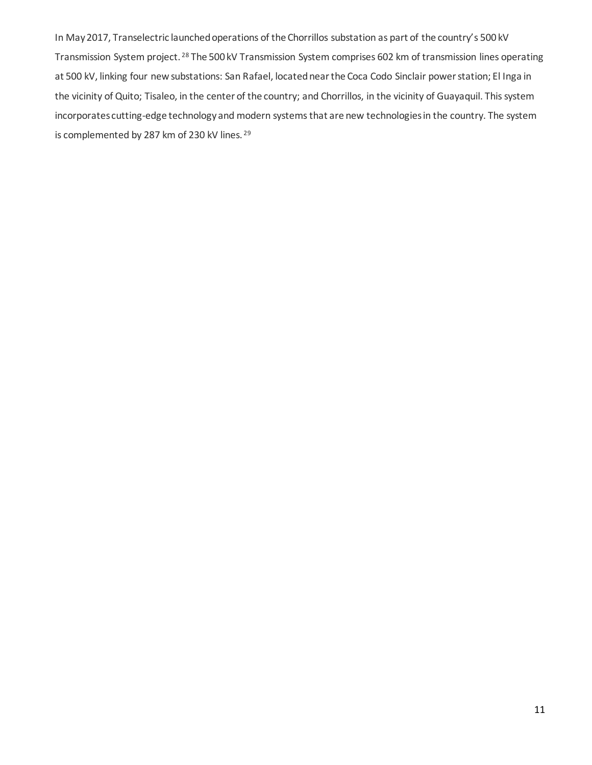In May 2017, Transelectric [launched operations of the Chorrillos substation](https://subscriber.bnamericas.com/news/electricpower/in-brief-ecuador-reinforces-grid) as part of the country's 500 kV Transmission System project. [28](#page-11-27) The 500 kV Transmission System comprises 602 km of transmission lines operating at 500 kV, linking four new substations: San Rafael, located near the Coca Codo Sinclair power station; El Inga in the vicinity of Quito; Tisaleo, in the center of the country; and Chorrillos, in the vicinity of Guayaquil. This system incorporates cutting-edge technology and modern systems that are new technologiesin the country. The system is complemented by 287 km of 230 kV lines. <sup>[29](#page-11-28)</sup>